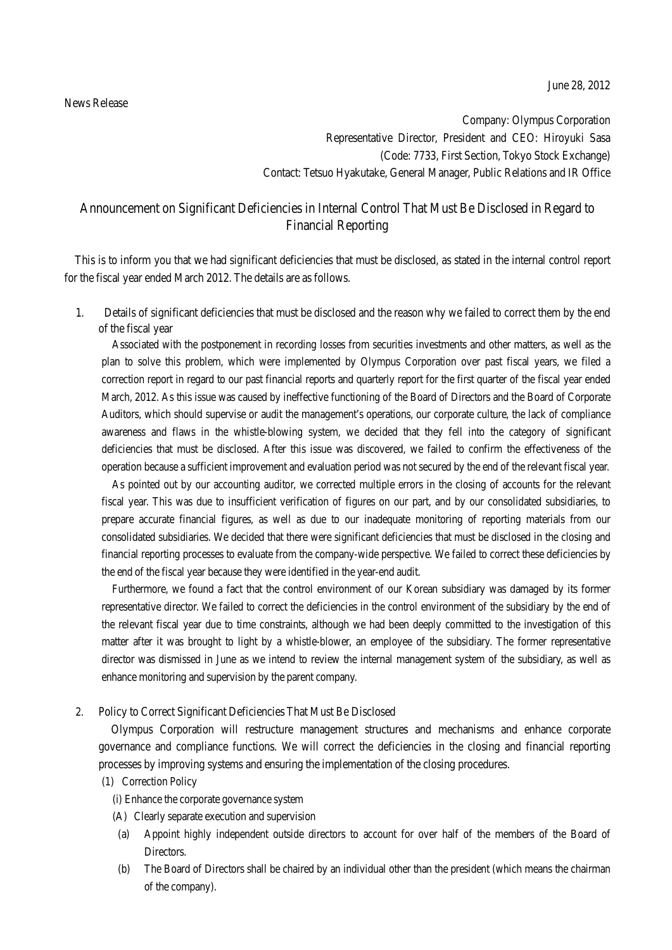## News Release

Company: Olympus Corporation Representative Director, President and CEO: Hiroyuki Sasa (Code: 7733, First Section, Tokyo Stock Exchange) Contact: Tetsuo Hyakutake, General Manager, Public Relations and IR Office

## Announcement on Significant Deficiencies in Internal Control That Must Be Disclosed in Regard to Financial Reporting

This is to inform you that we had significant deficiencies that must be disclosed, as stated in the internal control report for the fiscal year ended March 2012. The details are as follows.

1. Details of significant deficiencies that must be disclosed and the reason why we failed to correct them by the end of the fiscal year

Associated with the postponement in recording losses from securities investments and other matters, as well as the plan to solve this problem, which were implemented by Olympus Corporation over past fiscal years, we filed a correction report in regard to our past financial reports and quarterly report for the first quarter of the fiscal year ended March, 2012. As this issue was caused by ineffective functioning of the Board of Directors and the Board of Corporate Auditors, which should supervise or audit the management's operations, our corporate culture, the lack of compliance awareness and flaws in the whistle-blowing system, we decided that they fell into the category of significant deficiencies that must be disclosed. After this issue was discovered, we failed to confirm the effectiveness of the operation because a sufficient improvement and evaluation period was not secured by the end of the relevant fiscal year.

As pointed out by our accounting auditor, we corrected multiple errors in the closing of accounts for the relevant fiscal year. This was due to insufficient verification of figures on our part, and by our consolidated subsidiaries, to prepare accurate financial figures, as well as due to our inadequate monitoring of reporting materials from our consolidated subsidiaries. We decided that there were significant deficiencies that must be disclosed in the closing and financial reporting processes to evaluate from the company-wide perspective. We failed to correct these deficiencies by the end of the fiscal year because they were identified in the year-end audit.

Furthermore, we found a fact that the control environment of our Korean subsidiary was damaged by its former representative director. We failed to correct the deficiencies in the control environment of the subsidiary by the end of the relevant fiscal year due to time constraints, although we had been deeply committed to the investigation of this matter after it was brought to light by a whistle-blower, an employee of the subsidiary. The former representative director was dismissed in June as we intend to review the internal management system of the subsidiary, as well as enhance monitoring and supervision by the parent company.

## 2. Policy to Correct Significant Deficiencies That Must Be Disclosed

Olympus Corporation will restructure management structures and mechanisms and enhance corporate governance and compliance functions. We will correct the deficiencies in the closing and financial reporting processes by improving systems and ensuring the implementation of the closing procedures.

- (1) Correction Policy
	- (i) Enhance the corporate governance system
	- (A) Clearly separate execution and supervision
	- (a) Appoint highly independent outside directors to account for over half of the members of the Board of Directors.
	- (b) The Board of Directors shall be chaired by an individual other than the president (which means the chairman of the company).